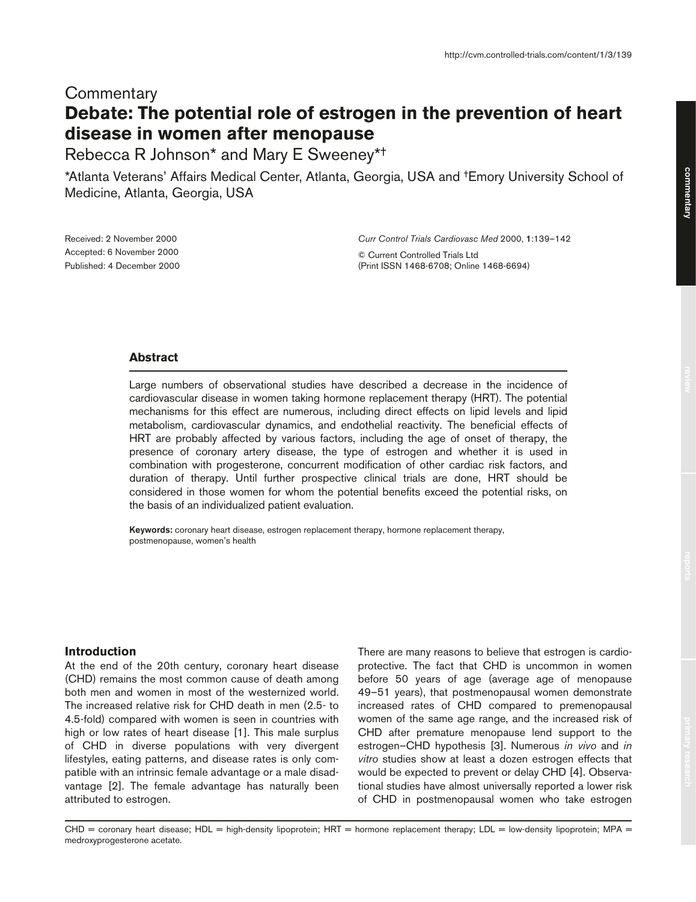# **Commentary Debate: The potential role of estrogen in the prevention of heart disease in women after menopause**

Rebecca R Johnson\* and Mary E Sweeney\*†

\*Atlanta Veterans' Affairs Medical Center, Atlanta, Georgia, USA and †Emory University School of Medicine, Atlanta, Georgia, USA

Received: 2 November 2000 Accepted: 6 November 2000 Published: 4 December 2000 *Curr Control Trials Cardiovasc Med* 2000, **1**:139–142

© Current Controlled Trials Ltd (Print ISSN 1468-6708; Online 1468-6694)

# **Abstract**

Large numbers of observational studies have described a decrease in the incidence of cardiovascular disease in women taking hormone replacement therapy (HRT). The potential mechanisms for this effect are numerous, including direct effects on lipid levels and lipid metabolism, cardiovascular dynamics, and endothelial reactivity. The beneficial effects of HRT are probably affected by various factors, including the age of onset of therapy, the presence of coronary artery disease, the type of estrogen and whether it is used in combination with progesterone, concurrent modification of other cardiac risk factors, and duration of therapy. Until further prospective clinical trials are done, HRT should be considered in those women for whom the potential benefits exceed the potential risks, on the basis of an individualized patient evaluation.

**Keywords:** coronary heart disease, estrogen replacement therapy, hormone replacement therapy, postmenopause, women's health

### **Introduction**

At the end of the 20th century, coronary heart disease (CHD) remains the most common cause of death among both men and women in most of the westernized world. The increased relative risk for CHD death in men (2.5- to 4.5-fold) compared with women is seen in countries with high or low rates of heart disease [1]. This male surplus of CHD in diverse populations with very divergent lifestyles, eating patterns, and disease rates is only compatible with an intrinsic female advantage or a male disadvantage [2]. The female advantage has naturally been attributed to estrogen.

There are many reasons to believe that estrogen is cardioprotective. The fact that CHD is uncommon in women before 50 years of age (average age of menopause 49–51 years), that postmenopausal women demonstrate increased rates of CHD compared to premenopausal women of the same age range, and the increased risk of CHD after premature menopause lend support to the estrogen–CHD hypothesis [3]. Numerous *in vivo* and *in vitro* studies show at least a dozen estrogen effects that would be expected to prevent or delay CHD [4]. Observational studies have almost universally reported a lower risk of CHD in postmenopausal women who take estrogen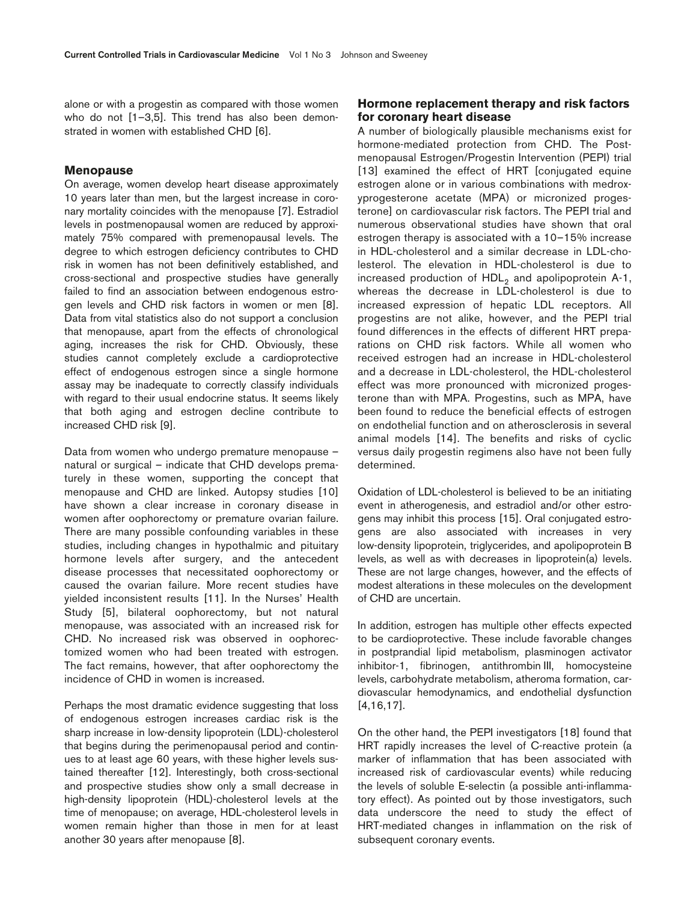alone or with a progestin as compared with those women who do not [1–3,5]. This trend has also been demonstrated in women with established CHD [6].

#### **Menopause**

On average, women develop heart disease approximately 10 years later than men, but the largest increase in coronary mortality coincides with the menopause [7]. Estradiol levels in postmenopausal women are reduced by approximately 75% compared with premenopausal levels. The degree to which estrogen deficiency contributes to CHD risk in women has not been definitively established, and cross-sectional and prospective studies have generally failed to find an association between endogenous estrogen levels and CHD risk factors in women or men [8]. Data from vital statistics also do not support a conclusion that menopause, apart from the effects of chronological aging, increases the risk for CHD. Obviously, these studies cannot completely exclude a cardioprotective effect of endogenous estrogen since a single hormone assay may be inadequate to correctly classify individuals with regard to their usual endocrine status. It seems likely that both aging and estrogen decline contribute to increased CHD risk [9].

Data from women who undergo premature menopause – natural or surgical – indicate that CHD develops prematurely in these women, supporting the concept that menopause and CHD are linked. Autopsy studies [10] have shown a clear increase in coronary disease in women after oophorectomy or premature ovarian failure. There are many possible confounding variables in these studies, including changes in hypothalmic and pituitary hormone levels after surgery, and the antecedent disease processes that necessitated oophorectomy or caused the ovarian failure. More recent studies have yielded inconsistent results [11]. In the Nurses' Health Study [5], bilateral oophorectomy, but not natural menopause, was associated with an increased risk for CHD. No increased risk was observed in oophorectomized women who had been treated with estrogen. The fact remains, however, that after oophorectomy the incidence of CHD in women is increased.

Perhaps the most dramatic evidence suggesting that loss of endogenous estrogen increases cardiac risk is the sharp increase in low-density lipoprotein (LDL)-cholesterol that begins during the perimenopausal period and continues to at least age 60 years, with these higher levels sustained thereafter [12]. Interestingly, both cross-sectional and prospective studies show only a small decrease in high-density lipoprotein (HDL)-cholesterol levels at the time of menopause; on average, HDL-cholesterol levels in women remain higher than those in men for at least another 30 years after menopause [8].

# **Hormone replacement therapy and risk factors for coronary heart disease**

A number of biologically plausible mechanisms exist for hormone-mediated protection from CHD. The Postmenopausal Estrogen/Progestin Intervention (PEPI) trial [13] examined the effect of HRT [conjugated equine estrogen alone or in various combinations with medroxyprogesterone acetate (MPA) or micronized progesterone] on cardiovascular risk factors. The PEPI trial and numerous observational studies have shown that oral estrogen therapy is associated with a 10–15% increase in HDL-cholesterol and a similar decrease in LDL-cholesterol. The elevation in HDL-cholesterol is due to increased production of  $HDL<sub>2</sub>$  and apolipoprotein A-1, whereas the decrease in LDL-cholesterol is due to increased expression of hepatic LDL receptors. All progestins are not alike, however, and the PEPI trial found differences in the effects of different HRT preparations on CHD risk factors. While all women who received estrogen had an increase in HDL-cholesterol and a decrease in LDL-cholesterol, the HDL-cholesterol effect was more pronounced with micronized progesterone than with MPA. Progestins, such as MPA, have been found to reduce the beneficial effects of estrogen on endothelial function and on atherosclerosis in several animal models [14]. The benefits and risks of cyclic versus daily progestin regimens also have not been fully determined.

Oxidation of LDL-cholesterol is believed to be an initiating event in atherogenesis, and estradiol and/or other estrogens may inhibit this process [15]. Oral conjugated estrogens are also associated with increases in very low-density lipoprotein, triglycerides, and apolipoprotein B levels, as well as with decreases in lipoprotein(a) levels. These are not large changes, however, and the effects of modest alterations in these molecules on the development of CHD are uncertain.

In addition, estrogen has multiple other effects expected to be cardioprotective. These include favorable changes in postprandial lipid metabolism, plasminogen activator inhibitor-1, fibrinogen, antithrombin III, homocysteine levels, carbohydrate metabolism, atheroma formation, cardiovascular hemodynamics, and endothelial dysfunction [4,16,17].

On the other hand, the PEPI investigators [18] found that HRT rapidly increases the level of C-reactive protein (a marker of inflammation that has been associated with increased risk of cardiovascular events) while reducing the levels of soluble E-selectin (a possible anti-inflammatory effect). As pointed out by those investigators, such data underscore the need to study the effect of HRT-mediated changes in inflammation on the risk of subsequent coronary events.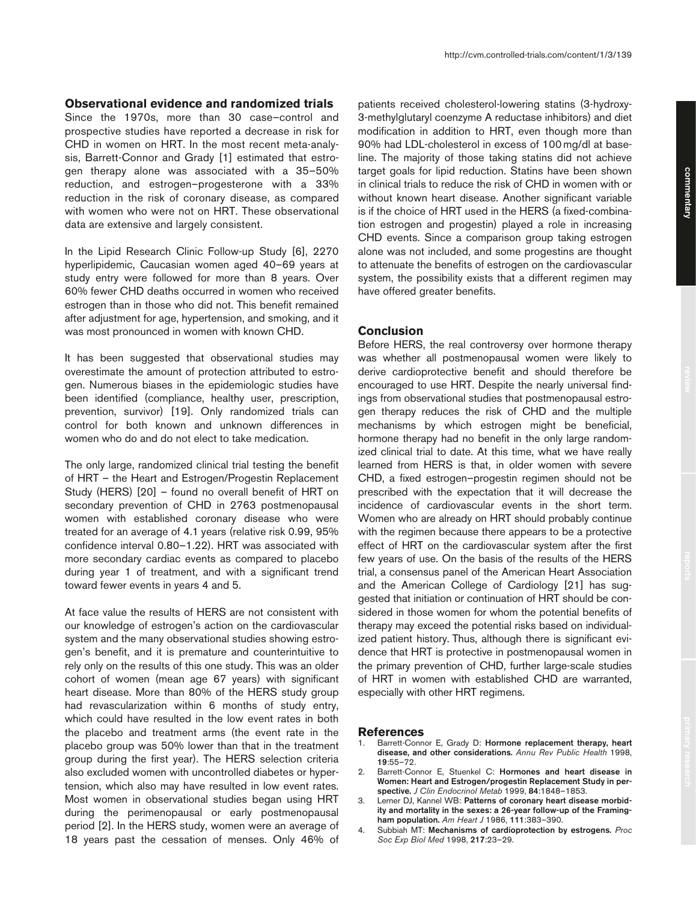#### **Observational evidence and randomized trials**

Since the 1970s, more than 30 case–control and prospective studies have reported a decrease in risk for CHD in women on HRT. In the most recent meta-analysis, Barrett-Connor and Grady [1] estimated that estrogen therapy alone was associated with a 35–50% reduction, and estrogen–progesterone with a 33% reduction in the risk of coronary disease, as compared with women who were not on HRT. These observational data are extensive and largely consistent.

In the Lipid Research Clinic Follow-up Study [6], 2270 hyperlipidemic, Caucasian women aged 40–69 years at study entry were followed for more than 8 years. Over 60% fewer CHD deaths occurred in women who received estrogen than in those who did not. This benefit remained after adjustment for age, hypertension, and smoking, and it was most pronounced in women with known CHD.

It has been suggested that observational studies may overestimate the amount of protection attributed to estrogen. Numerous biases in the epidemiologic studies have been identified (compliance, healthy user, prescription, prevention, survivor) [19]. Only randomized trials can control for both known and unknown differences in women who do and do not elect to take medication.

The only large, randomized clinical trial testing the benefit of HRT – the Heart and Estrogen/Progestin Replacement Study (HERS) [20] – found no overall benefit of HRT on secondary prevention of CHD in 2763 postmenopausal women with established coronary disease who were treated for an average of 4.1 years (relative risk 0.99, 95% confidence interval 0.80–1.22). HRT was associated with more secondary cardiac events as compared to placebo during year 1 of treatment, and with a significant trend toward fewer events in years 4 and 5.

At face value the results of HERS are not consistent with our knowledge of estrogen's action on the cardiovascular system and the many observational studies showing estrogen's benefit, and it is premature and counterintuitive to rely only on the results of this one study. This was an older cohort of women (mean age 67 years) with significant heart disease. More than 80% of the HERS study group had revascularization within 6 months of study entry, which could have resulted in the low event rates in both the placebo and treatment arms (the event rate in the placebo group was 50% lower than that in the treatment group during the first year). The HERS selection criteria also excluded women with uncontrolled diabetes or hypertension, which also may have resulted in low event rates. Most women in observational studies began using HRT during the perimenopausal or early postmenopausal period [2]. In the HERS study, women were an average of 18 years past the cessation of menses. Only 46% of patients received cholesterol-lowering statins (3-hydroxy-3-methylglutaryl coenzyme A reductase inhibitors) and diet modification in addition to HRT, even though more than 90% had LDL-cholesterol in excess of 100 mg/dl at baseline. The majority of those taking statins did not achieve target goals for lipid reduction. Statins have been shown in clinical trials to reduce the risk of CHD in women with or without known heart disease. Another significant variable is if the choice of HRT used in the HERS (a fixed-combination estrogen and progestin) played a role in increasing CHD events. Since a comparison group taking estrogen alone was not included, and some progestins are thought to attenuate the benefits of estrogen on the cardiovascular system, the possibility exists that a different regimen may have offered greater benefits.

# **Conclusion**

Before HERS, the real controversy over hormone therapy was whether all postmenopausal women were likely to derive cardioprotective benefit and should therefore be encouraged to use HRT. Despite the nearly universal findings from observational studies that postmenopausal estrogen therapy reduces the risk of CHD and the multiple mechanisms by which estrogen might be beneficial, hormone therapy had no benefit in the only large randomized clinical trial to date. At this time, what we have really learned from HERS is that, in older women with severe CHD, a fixed estrogen–progestin regimen should not be prescribed with the expectation that it will decrease the incidence of cardiovascular events in the short term. Women who are already on HRT should probably continue with the regimen because there appears to be a protective effect of HRT on the cardiovascular system after the first few years of use. On the basis of the results of the HERS trial, a consensus panel of the American Heart Association and the American College of Cardiology [21] has suggested that initiation or continuation of HRT should be considered in those women for whom the potential benefits of therapy may exceed the potential risks based on individualized patient history. Thus, although there is significant evidence that HRT is protective in postmenopausal women in the primary prevention of CHD, further large-scale studies of HRT in women with established CHD are warranted, especially with other HRT regimens.

#### **References**

- 1. Barrett-Connor E, Grady D: **Hormone replacement therapy, heart disease, and other considerations.** *Annu Rev Public Health* 1998, **19**:55–72.
- 2. Barrett-Connor E, Stuenkel C: **Hormones and heart disease in Women: Heart and Estrogen/progestin Replacement Study in perspective.** *J Clin Endocrinol Metab* 1999, **84**:1848–1853.
- 3. Lerner DJ, Kannel WB: **Patterns of coronary heart disease morbidity and mortality in the sexes: a 26-year follow-up of the Framingham population.** *Am Heart J* 1986, **111**:383–390.
- 4. Subbiah MT: **Mechanisms of cardioprotection by estrogens.** *Proc Soc Exp Biol Med* 1998, **217**:23–29.